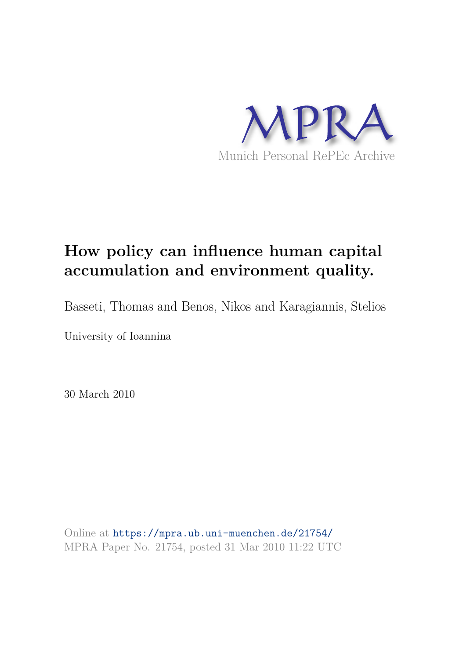

# **How policy can influence human capital accumulation and environment quality.**

Basseti, Thomas and Benos, Nikos and Karagiannis, Stelios

University of Ioannina

30 March 2010

Online at https://mpra.ub.uni-muenchen.de/21754/ MPRA Paper No. 21754, posted 31 Mar 2010 11:22 UTC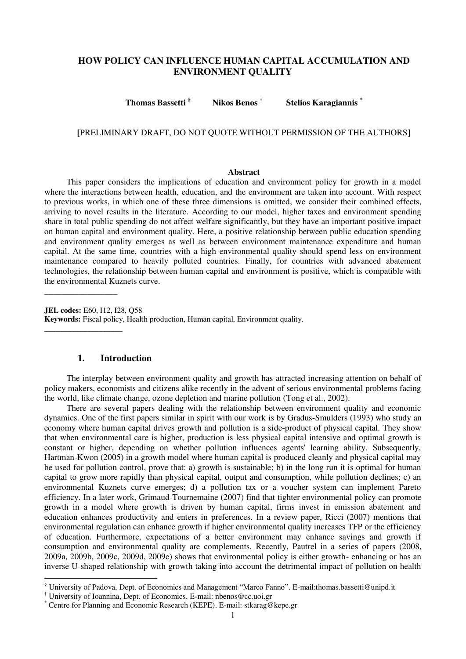# **HOW POLICY CAN INFLUENCE HUMAN CAPITAL ACCUMULATION AND ENVIRONMENT QUALITY**

**Thomas Bassetti § Nikos Benos † Stelios Karagiannis \***

# **[**PRELIMINARY DRAFT, DO NOT QUOTE WITHOUT PERMISSION OF THE AUTHORS**]**

#### **Abstract**

This paper considers the implications of education and environment policy for growth in a model where the interactions between health, education, and the environment are taken into account. With respect to previous works, in which one of these three dimensions is omitted, we consider their combined effects, arriving to novel results in the literature. According to our model, higher taxes and environment spending share in total public spending do not affect welfare significantly, but they have an important positive impact on human capital and environment quality. Here, a positive relationship between public education spending and environment quality emerges as well as between environment maintenance expenditure and human capital. At the same time, countries with a high environmental quality should spend less on environment maintenance compared to heavily polluted countries. Finally, for countries with advanced abatement technologies, the relationship between human capital and environment is positive, which is compatible with the environmental Kuznets curve.

**JEL codes:** E60, I12, I28, Q58 **Keywords:** Fiscal policy, Health production, Human capital, Environment quality.

# **1. Introduction**

\_\_\_\_\_\_\_\_\_\_\_\_\_\_\_\_\_

**\_\_\_\_\_\_\_\_\_\_\_\_\_\_\_\_\_\_\_\_** 

-

The interplay between environment quality and growth has attracted increasing attention on behalf of policy makers, economists and citizens alike recently in the advent of serious environmental problems facing the world, like climate change, ozone depletion and marine pollution (Tong et al., 2002).

There are several papers dealing with the relationship between environment quality and economic dynamics. One of the first papers similar in spirit with our work is by Gradus-Smulders (1993) who study an economy where human capital drives growth and pollution is a side-product of physical capital. They show that when environmental care is higher, production is less physical capital intensive and optimal growth is constant or higher, depending on whether pollution influences agents' learning ability. Subsequently, Hartman-Kwon (2005) in a growth model where human capital is produced cleanly and physical capital may be used for pollution control, prove that: a) growth is sustainable; b) in the long run it is optimal for human capital to grow more rapidly than physical capital, output and consumption, while pollution declines; c) an environmental Kuznets curve emerges; d) a pollution tax or a voucher system can implement Pareto efficiency. In a later work, Grimaud-Tournemaine (2007) find that tighter environmental policy can promote **g**rowth in a model where growth is driven by human capital, firms invest in emission abatement and education enhances productivity and enters in preferences. In a review paper, Ricci (2007) mentions that environmental regulation can enhance growth if higher environmental quality increases TFP or the efficiency of education. Furthermore, expectations of a better environment may enhance savings and growth if consumption and environmental quality are complements. Recently, Pautrel in a series of papers (2008, 2009a, 2009b, 2009c, 2009d, 2009e) shows that environmental policy is either growth- enhancing or has an inverse U-shaped relationship with growth taking into account the detrimental impact of pollution on health

<sup>§</sup> University of Padova, Dept. of Economics and Management "Marco Fanno". E-mail:thomas.bassetti@unipd.it

<sup>†</sup> University of Ioannina, Dept. of Economics. E-mail: nbenos@cc.uoi.gr

<sup>\*</sup> Centre for Planning and Economic Research (KEPE). E-mail: stkarag@kepe.gr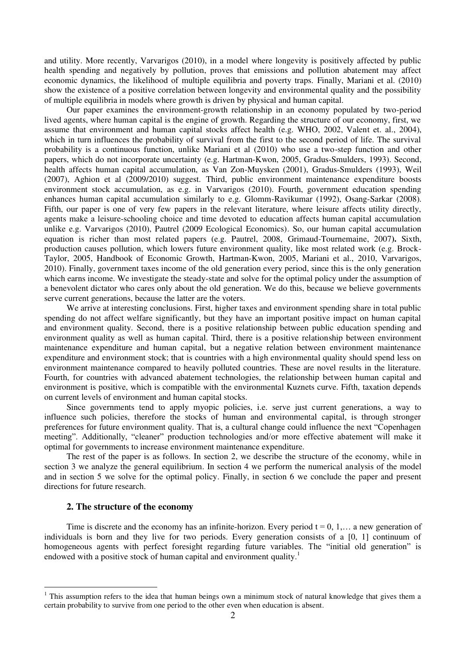and utility. More recently, Varvarigos (2010), in a model where longevity is positively affected by public health spending and negatively by pollution, proves that emissions and pollution abatement may affect economic dynamics, the likelihood of multiple equilibria and poverty traps. Finally, Mariani et al. (2010) show the existence of a positive correlation between longevity and environmental quality and the possibility of multiple equilibria in models where growth is driven by physical and human capital.

Our paper examines the environment-growth relationship in an economy populated by two-period lived agents, where human capital is the engine of growth. Regarding the structure of our economy, first, we assume that environment and human capital stocks affect health (e.g. WHO, 2002, Valent et. al., 2004), which in turn influences the probability of survival from the first to the second period of life. The survival probability is a continuous function, unlike Mariani et al (2010) who use a two-step function and other papers, which do not incorporate uncertainty (e.g. Hartman-Kwon, 2005, Gradus-Smulders, 1993). Second, health affects human capital accumulation, as Van Zon-Muysken (2001), Gradus-Smulders (1993), Weil (2007), Aghion et al (2009/2010) suggest. Third, public environment maintenance expenditure boosts environment stock accumulation, as e.g. in Varvarigos (2010). Fourth, government education spending enhances human capital accumulation similarly to e.g. Glomm-Ravikumar (1992), Osang-Sarkar (2008). Fifth, our paper is one of very few papers in the relevant literature, where leisure affects utility directly, agents make a leisure-schooling choice and time devoted to education affects human capital accumulation unlike e.g. Varvarigos (2010), Pautrel (2009 Ecological Economics). So, our human capital accumulation equation is richer than most related papers (e.g. Pautrel, 2008, Grimaud-Tournemaine, 2007**).** Sixth, production causes pollution, which lowers future environment quality, like most related work (e.g. Brock-Taylor, 2005, Handbook of Economic Growth, Hartman-Kwon, 2005, Mariani et al., 2010, Varvarigos, 2010). Finally, government taxes income of the old generation every period, since this is the only generation which earns income. We investigate the steady-state and solve for the optimal policy under the assumption of a benevolent dictator who cares only about the old generation. We do this, because we believe governments serve current generations, because the latter are the voters.

We arrive at interesting conclusions. First, higher taxes and environment spending share in total public spending do not affect welfare significantly, but they have an important positive impact on human capital and environment quality. Second, there is a positive relationship between public education spending and environment quality as well as human capital. Third, there is a positive relationship between environment maintenance expenditure and human capital, but a negative relation between environment maintenance expenditure and environment stock; that is countries with a high environmental quality should spend less on environment maintenance compared to heavily polluted countries. These are novel results in the literature. Fourth, for countries with advanced abatement technologies, the relationship between human capital and environment is positive, which is compatible with the environmental Kuznets curve. Fifth, taxation depends on current levels of environment and human capital stocks.

Since governments tend to apply myopic policies, i.e. serve just current generations, a way to influence such policies, therefore the stocks of human and environmental capital, is through stronger preferences for future environment quality. That is, a cultural change could influence the next "Copenhagen meeting". Additionally, "cleaner" production technologies and/or more effective abatement will make it optimal for governments to increase environment maintenance expenditure.

The rest of the paper is as follows. In section 2, we describe the structure of the economy, while in section 3 we analyze the general equilibrium. In section 4 we perform the numerical analysis of the model and in section 5 we solve for the optimal policy. Finally, in section 6 we conclude the paper and present directions for future research.

## **2. The structure of the economy**

-

Time is discrete and the economy has an infinite-horizon. Every period  $t = 0, 1, \ldots$  a new generation of individuals is born and they live for two periods. Every generation consists of a [0, 1] continuum of homogeneous agents with perfect foresight regarding future variables. The "initial old generation" is endowed with a positive stock of human capital and environment quality.<sup>1</sup>

<sup>&</sup>lt;sup>1</sup> This assumption refers to the idea that human beings own a minimum stock of natural knowledge that gives them a certain probability to survive from one period to the other even when education is absent.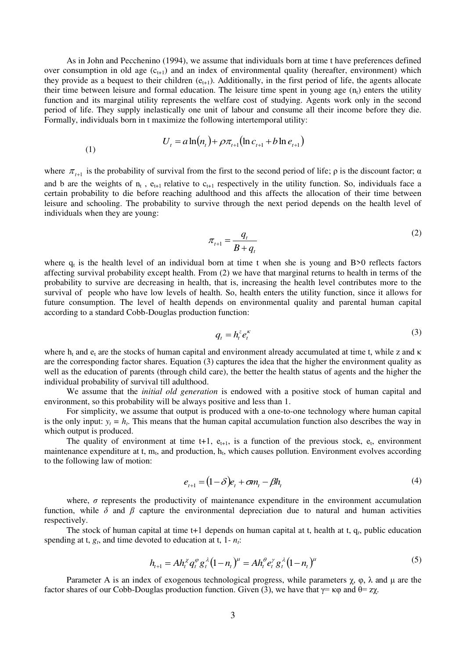As in John and Pecchenino (1994), we assume that individuals born at time t have preferences defined over consumption in old age  $(c_{t+1})$  and an index of environmental quality (hereafter, environment) which they provide as a bequest to their children  $(e_{t+1})$ . Additionally, in the first period of life, the agents allocate their time between leisure and formal education. The leisure time spent in young age  $(n<sub>t</sub>)$  enters the utility function and its marginal utility represents the welfare cost of studying. Agents work only in the second period of life. They supply inelastically one unit of labour and consume all their income before they die. Formally, individuals born in t maximize the following intertemporal utility:

(1) 
$$
U_{t} = a \ln(n_{t}) + \rho \pi_{t+1} (\ln c_{t+1} + b \ln e_{t+1})
$$

where  $\pi_{t+1}$  is the probability of survival from the first to the second period of life;  $\rho$  is the discount factor;  $\alpha$ and b are the weights of  $n_t$ ,  $e_{t+1}$  relative to  $c_{t+1}$  respectively in the utility function. So, individuals face a certain probability to die before reaching adulthood and this affects the allocation of their time between leisure and schooling. The probability to survive through the next period depends on the health level of individuals when they are young:

$$
\pi_{t+1} = \frac{q_t}{B + q_t} \tag{2}
$$

where  $q_t$  is the health level of an individual born at time t when she is young and B $>0$  reflects factors affecting survival probability except health. From (2) we have that marginal returns to health in terms of the probability to survive are decreasing in health, that is, increasing the health level contributes more to the survival of people who have low levels of health. So, health enters the utility function, since it allows for future consumption. The level of health depends on environmental quality and parental human capital according to a standard Cobb-Douglas production function:

$$
q_t = h_t^z e_t^{\kappa} \tag{3}
$$

where  $h_t$  and  $e_t$  are the stocks of human capital and environment already accumulated at time t, while z and  $\kappa$ are the corresponding factor shares. Equation (3) captures the idea that the higher the environment quality as well as the education of parents (through child care), the better the health status of agents and the higher the individual probability of survival till adulthood.

We assume that the *initial old generation* is endowed with a positive stock of human capital and environment, so this probability will be always positive and less than 1.

For simplicity, we assume that output is produced with a one-to-one technology where human capital is the only input:  $y_t = h_t$ . This means that the human capital accumulation function also describes the way in which output is produced.

The quality of environment at time  $t+1$ ,  $e_{t+1}$ , is a function of the previous stock,  $e_t$ , environment maintenance expenditure at t,  $m_t$ , and production,  $h_t$ , which causes pollution. Environment evolves according to the following law of motion:

$$
e_{t+1} = (1 - \delta)e_t + \sigma n_t - \beta h_t \tag{4}
$$

where,  $\sigma$  represents the productivity of maintenance expenditure in the environment accumulation function, while  $\delta$  and  $\beta$  capture the environmental depreciation due to natural and human activities respectively.

The stock of human capital at time t+1 depends on human capital at t, health at t, q*<sup>t</sup>* , public education spending at t,  $g_t$ , and time devoted to education at t,  $1 - n_t$ .

$$
h_{t+1} = Ah_t^{\chi} q_t^{\varphi} g_t^{\lambda} (1 - n_t)^{\mu} = Ah_t^{\theta} e_t^{\gamma} g_t^{\lambda} (1 - n_t)^{\mu}
$$
 (5)

Parameter A is an index of exogenous technological progress, while parameters  $\chi$ ,  $\varphi$ ,  $\lambda$  and  $\mu$  are the factor shares of our Cobb-Douglas production function. Given (3), we have that  $\gamma = \kappa \varphi$  and  $\theta = z \chi$ .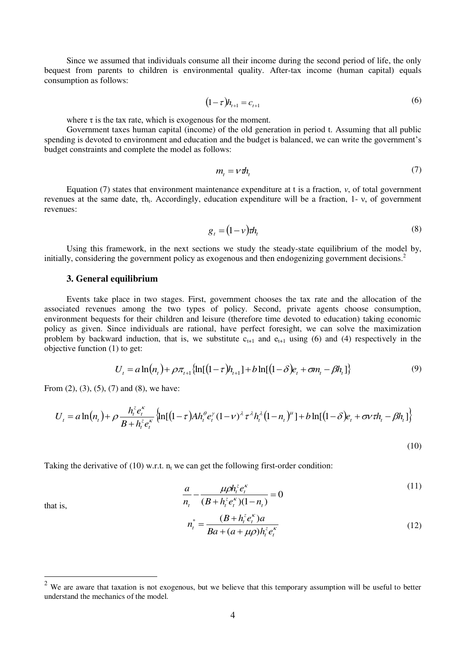Since we assumed that individuals consume all their income during the second period of life, the only bequest from parents to children is environmental quality. After-tax income (human capital) equals consumption as follows:

$$
(1 - \tau)h_{t+1} = c_{t+1} \tag{6}
$$

where  $\tau$  is the tax rate, which is exogenous for the moment.

Government taxes human capital (income) of the old generation in period t. Assuming that all public spending is devoted to environment and education and the budget is balanced, we can write the government's budget constraints and complete the model as follows:

$$
m_t = V \, \mathbf{\vec{n}}_t \tag{7}
$$

Equation (7) states that environment maintenance expenditure at t is a fraction, *ν*, of total government revenues at the same date, τh<sub>t</sub>. Accordingly, education expenditure will be a fraction, 1- ν, of government revenues:

$$
g_t = (1 - v) \tau h_t \tag{8}
$$

Using this framework, in the next sections we study the steady-state equilibrium of the model by, initially, considering the government policy as exogenous and then endogenizing government decisions.<sup>2</sup>

# **3. General equilibrium**

Events take place in two stages. First, government chooses the tax rate and the allocation of the associated revenues among the two types of policy. Second, private agents choose consumption, environment bequests for their children and leisure (therefore time devoted to education) taking economic policy as given. Since individuals are rational, have perfect foresight, we can solve the maximization problem by backward induction, that is, we substitute  $c_{t+1}$  and  $e_{t+1}$  using (6) and (4) respectively in the objective function (1) to get:

$$
U_t = a \ln(n_t) + \rho \pi_{t+1} \{ \ln[(1-\tau)h_{t+1}] + b \ln[(1-\delta)e_t + \sigma n_t - \beta h_t] \}
$$
(9)

From  $(2)$ ,  $(3)$ ,  $(5)$ ,  $(7)$  and  $(8)$ , we have:

$$
U_{t} = a \ln(n_{t}) + \rho \frac{h_{t}^{z} e_{t}^{k}}{B + h_{t}^{z} e_{t}^{k}} \left\{ \ln[(1-\tau)Ah_{t}^{\theta} e_{t}^{y}(1-\nu)^{\lambda} \tau^{\lambda} h_{t}^{\lambda}(1-n_{t})^{\mu}] + b \ln[(1-\delta)e_{t} + \sigma \nu \tau h_{t} - \beta h_{t}] \right\}
$$

(10)

Taking the derivative of  $(10)$  w.r.t.  $n_t$  we can get the following first-order condition:

$$
\frac{a}{n_{t}} - \frac{\mu \rho h_{t}^{z} e_{t}^{k}}{(B + h_{t}^{z} e_{t}^{k})(1 - n_{t})} = 0
$$
\n(11)

that is,

-

$$
n_{t}^{*} = \frac{(B + h_{t}^{z} e_{t}^{k}) a}{B a + (a + \mu \rho) h_{t}^{z} e_{t}^{k}}
$$
(12)

We are aware that taxation is not exogenous, but we believe that this temporary assumption will be useful to better understand the mechanics of the model.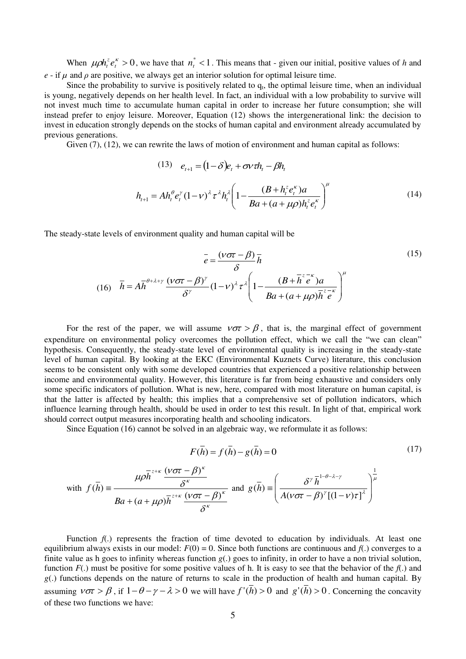When  $\mu \rho h_i^z e_i^k > 0$  $h_i^z e_i^k > 0$ , we have that  $n_i^* < 1$ . This means that - given our initial, positive values of *h* and *e* - if  $\mu$  and  $\rho$  are positive, we always get an interior solution for optimal leisure time.

Since the probability to survive is positively related to  $q_t$ , the optimal leisure time, when an individual is young, negatively depends on her health level. In fact, an individual with a low probability to survive will not invest much time to accumulate human capital in order to increase her future consumption; she will instead prefer to enjoy leisure. Moreover, Equation (12) shows the intergenerational link: the decision to invest in education strongly depends on the stocks of human capital and environment already accumulated by previous generations.

Given (7), (12), we can rewrite the laws of motion of environment and human capital as follows:

(13) 
$$
e_{t+1} = (1 - \delta)e_t + \sigma \nu \tau h_t - \beta h_t
$$

$$
h_{t+1} = Ah_t^{\theta} e_t^{\gamma} (1 - \nu)^{\lambda} \tau^{\lambda} h_t^{\lambda} \left( 1 - \frac{(B + h_t^z e_t^{\kappa}) a}{Ba + (a + \mu \rho) h_t^z e_t^{\kappa}} \right)^{\mu}
$$
(14)

The steady-state levels of environment quality and human capital will be

$$
\bar{e} = \frac{(\nu \sigma \tau - \beta)}{\delta} \bar{h}
$$
\n
$$
(16) \quad \bar{h} = A \bar{h}^{\theta + \lambda + \gamma} \frac{(\nu \sigma \tau - \beta)^{\gamma}}{\delta^{\gamma}} (1 - \nu)^{\lambda} \tau^{\lambda} \left( 1 - \frac{(B + \bar{h}^{\zeta - \kappa}) a}{Ba + (a + \mu \rho) \bar{h}^{\zeta - \kappa}} \right)^{\mu}
$$
\n
$$
(15)
$$

For the rest of the paper, we will assume  $v\sigma\tau > \beta$ , that is, the marginal effect of government expenditure on environmental policy overcomes the pollution effect, which we call the "we can clean" hypothesis. Consequently, the steady-state level of environmental quality is increasing in the steady-state level of human capital. By looking at the EKC (Environmental Kuznets Curve) literature, this conclusion seems to be consistent only with some developed countries that experienced a positive relationship between income and environmental quality. However, this literature is far from being exhaustive and considers only some specific indicators of pollution. What is new, here, compared with most literature on human capital, is that the latter is affected by health; this implies that a comprehensive set of pollution indicators, which influence learning through health, should be used in order to test this result. In light of that, empirical work should correct output measures incorporating health and schooling indicators.

Since Equation (16) cannot be solved in an algebraic way, we reformulate it as follows:

$$
F(\bar{h}) = f(\bar{h}) - g(\bar{h}) = 0
$$
\n(17)

with 
$$
f(\bar{h}) = \frac{\mu \rho \bar{h}^{z+\kappa} \frac{(\nu \sigma \tau - \beta)^{\kappa}}{\delta^{\kappa}}}{Ba + (a + \mu \rho) \bar{h}^{z+\kappa} \frac{(\nu \sigma \tau - \beta)^{\kappa}}{\delta^{\kappa}}}
$$
 and  $g(\bar{h}) = \left(\frac{\delta^{\gamma} \bar{h}^{1-\theta-\lambda-\gamma}}{A(\nu \sigma \tau - \beta)^{\gamma} [(1-\nu)\tau]^{\lambda}}\right)^{\frac{1}{\mu}}$ 

Function  $f(.)$  represents the fraction of time devoted to education by individuals. At least one equilibrium always exists in our model:  $F(0) = 0$ . Since both functions are continuous and  $f(.)$  converges to a finite value as h goes to infinity whereas function *g*(.) goes to infinity, in order to have a non trivial solution, function  $F(.)$  must be positive for some positive values of h. It is easy to see that the behavior of the  $f(.)$  and *g*(.) functions depends on the nature of returns to scale in the production of health and human capital. By assuming  $v\sigma\tau > \beta$ , if  $1 - \theta - \gamma - \lambda > 0$  we will have  $f'(\bar{h}) > 0$  and  $g'(\bar{h}) > 0$ . Concerning the concavity of these two functions we have: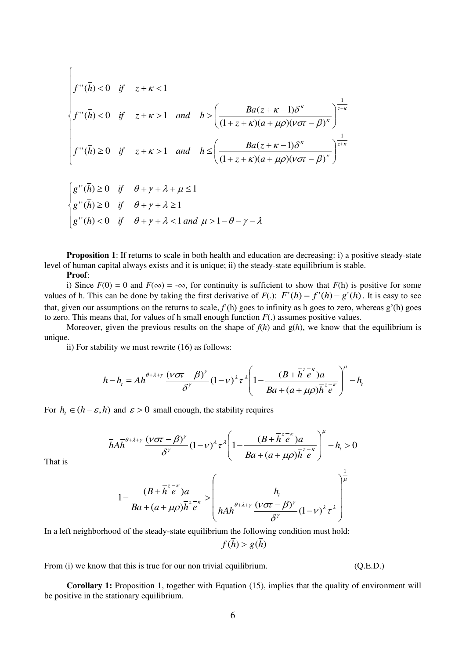$$
\begin{cases}\nf''(\bar{h}) < 0 \quad \text{if} \quad z + \kappa < 1 \\
f''(\bar{h}) < 0 \quad \text{if} \quad z + \kappa > 1 \quad \text{and} \quad h > \left(\frac{Ba(z + \kappa - 1)\delta^{\kappa}}{(1 + z + \kappa)(a + \mu\rho)(\nu\sigma\tau - \beta)^{\kappa}}\right)^{\frac{1}{z + \kappa}} \\
f''(\bar{h}) \ge 0 \quad \text{if} \quad z + \kappa > 1 \quad \text{and} \quad h \le \left(\frac{Ba(z + \kappa - 1)\delta^{\kappa}}{(1 + z + \kappa)(a + \mu\rho)(\nu\sigma\tau - \beta)^{\kappa}}\right)^{\frac{1}{z + \kappa}} \\
g''(\bar{h}) \ge 0 \quad \text{if} \quad \theta + \gamma + \lambda + \mu \le 1 \\
g''(\bar{h}) < 0 \quad \text{if} \quad \theta + \gamma + \lambda < 1 \text{ and } \mu > 1 - \theta - \gamma - \lambda\n\end{cases}
$$

**Proposition 1**: If returns to scale in both health and education are decreasing: i) a positive steady-state level of human capital always exists and it is unique; ii) the steady-state equilibrium is stable.

**Proof**:

i) Since  $F(0) = 0$  and  $F(\infty) = -\infty$ , for continuity is sufficient to show that  $F(h)$  is positive for some values of h. This can be done by taking the first derivative of  $F(.)$ :  $F'(h) = f'(h) - g'(h)$ . It is easy to see that, given our assumptions on the returns to scale,  $f'(h)$  goes to infinity as h goes to zero, whereas g'(h) goes to zero. This means that, for values of h small enough function *F*(.) assumes positive values.

Moreover, given the previous results on the shape of  $f(h)$  and  $g(h)$ , we know that the equilibrium is unique.

ii) For stability we must rewrite (16) as follows:

$$
\overline{h} - h_t = A\overline{h}^{\theta + \lambda + \gamma} \frac{(\nu \sigma \tau - \beta)^{\gamma}}{\delta^{\gamma}} (1 - \nu)^{\lambda} \tau^{\lambda} \left( 1 - \frac{(B + \overline{h}^z e^{-\kappa}) a}{Ba + (a + \mu \rho) \overline{h}^z e^{-\kappa}} \right)^{\mu} - h_t
$$

For  $h_t \in (h - \varepsilon, h)$  and  $\varepsilon > 0$  small enough, the stability requires

$$
\overline{h}A\overline{h}^{\theta+\lambda+\gamma}\frac{(\nu\sigma\tau-\beta)^{\gamma}}{\delta^{\gamma}}(1-\nu)^{\lambda}\tau^{\lambda}\left(1-\frac{(B+\overline{h}^{z-k})a}{Ba+(a+\mu\rho)\overline{h}^{z-k}}\right)^{\mu}-h_{t}>0
$$

That is

$$
1 - \frac{(B + \overline{h}^2 e^{-\kappa})a}{Ba + (a + \mu \rho)\overline{h}^2 e^{-\kappa}} > \left(\frac{h_t}{\overline{h}A\overline{h}^{\theta + \lambda + \gamma}} \frac{(v\sigma \tau - \beta)^{\gamma}}{\delta^{\gamma}} (1 - v)^{\lambda} \tau^{\lambda}\right)^{\mu}
$$

In a left neighborhood of the steady-state equilibrium the following condition must hold:

 $f(\bar{h}) > g(\bar{h})$ 

From (i) we know that this is true for our non trivial equilibrium. (Q.E.D.)

1

**Corollary 1:** Proposition 1, together with Equation (15), implies that the quality of environment will be positive in the stationary equilibrium.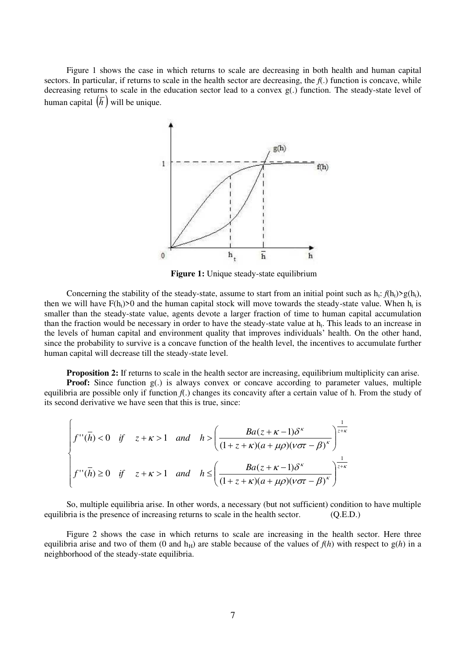Figure 1 shows the case in which returns to scale are decreasing in both health and human capital sectors. In particular, if returns to scale in the health sector are decreasing, the *f*(.) function is concave, while decreasing returns to scale in the education sector lead to a convex g(.) function. The steady-state level of human capital  $(\overline{h})$  will be unique.



**Figure 1:** Unique steady-state equilibrium

Concerning the stability of the steady-state, assume to start from an initial point such as  $h_t: f(h_t) > g(h_t)$ , then we will have  $F(h_t) > 0$  and the human capital stock will move towards the steady-state value. When  $h_t$  is smaller than the steady-state value, agents devote a larger fraction of time to human capital accumulation than the fraction would be necessary in order to have the steady-state value at  $h_t$ . This leads to an increase in the levels of human capital and environment quality that improves individuals' health. On the other hand, since the probability to survive is a concave function of the health level, the incentives to accumulate further human capital will decrease till the steady-state level.

**Proposition 2:** If returns to scale in the health sector are increasing, equilibrium multiplicity can arise. **Proof:** Since function g(.) is always convex or concave according to parameter values, multiple equilibria are possible only if function  $f(.)$  changes its concavity after a certain value of h. From the study of

its second derivative we have seen that this is true, since:

$$
\begin{cases}\nf''(\bar{h}) < 0 \quad \text{if} \quad z + \kappa > 1 \quad \text{and} \quad h > \left(\frac{Ba(z + \kappa - 1)\delta^{\kappa}}{(1 + z + \kappa)(a + \mu\rho)(v\sigma\tau - \beta)^{\kappa}}\right)^{\frac{1}{z + \kappa}} \\
f''(\bar{h}) \ge 0 \quad \text{if} \quad z + \kappa > 1 \quad \text{and} \quad h \le \left(\frac{Ba(z + \kappa - 1)\delta^{\kappa}}{(1 + z + \kappa)(a + \mu\rho)(v\sigma\tau - \beta)^{\kappa}}\right)^{\frac{1}{z + \kappa}}\n\end{cases}
$$

So, multiple equilibria arise. In other words, a necessary (but not sufficient) condition to have multiple equilibria is the presence of increasing returns to scale in the health sector. (Q.E.D.)

Figure 2 shows the case in which returns to scale are increasing in the health sector. Here three equilibria arise and two of them (0 and  $h<sub>H</sub>$ ) are stable because of the values of  $f(h)$  with respect to  $g(h)$  in a neighborhood of the steady-state equilibria.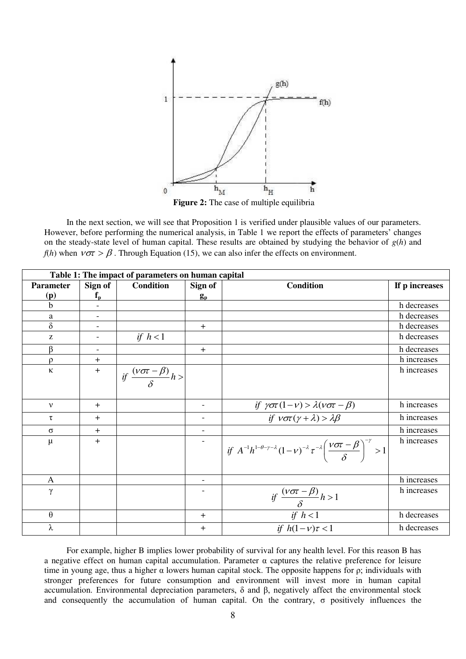

**Figure 2:** The case of multiple equilibria

In the next section, we will see that Proposition 1 is verified under plausible values of our parameters. However, before performing the numerical analysis, in Table 1 we report the effects of parameters' changes on the steady-state level of human capital. These results are obtained by studying the behavior of *g*(*h*) and  $f(h)$  when  $v \sigma \bar{z} > \beta$ . Through Equation (15), we can also infer the effects on environment.

| Table 1: The impact of parameters on human capital |                          |                                                   |                          |                                                                                                                                                                 |                |  |
|----------------------------------------------------|--------------------------|---------------------------------------------------|--------------------------|-----------------------------------------------------------------------------------------------------------------------------------------------------------------|----------------|--|
| <b>Parameter</b>                                   | Sign of                  | <b>Condition</b>                                  | Sign of                  | <b>Condition</b>                                                                                                                                                | If p increases |  |
| (p)                                                | $f_{\rm p}$              |                                                   | $g_{\rm p}$              |                                                                                                                                                                 |                |  |
| b                                                  | $\blacksquare$           |                                                   |                          |                                                                                                                                                                 | h decreases    |  |
| a                                                  | $\overline{\phantom{a}}$ |                                                   |                          |                                                                                                                                                                 | h decreases    |  |
| $\delta$                                           |                          |                                                   | $+$                      |                                                                                                                                                                 | h decreases    |  |
| Z                                                  |                          | if $h < 1$                                        |                          |                                                                                                                                                                 | h decreases    |  |
| ß                                                  | $\blacksquare$           |                                                   | $+$                      |                                                                                                                                                                 | h decreases    |  |
| ρ                                                  | $\ddot{}$                |                                                   |                          |                                                                                                                                                                 | h increases    |  |
| $\kappa$                                           | $+$                      | if $\frac{(\nu \sigma \tau - \beta)}{\delta} h >$ |                          |                                                                                                                                                                 | h increases    |  |
|                                                    |                          |                                                   |                          |                                                                                                                                                                 |                |  |
| $\mathbf{v}$                                       | $+$                      |                                                   | $\overline{\phantom{a}}$ | if $\gamma \sigma \tau (1-\nu) > \lambda (\nu \sigma \tau - \beta)$<br>if $\nu \sigma \tau (\gamma + \lambda) > \lambda \beta$                                  | h increases    |  |
| τ                                                  | $+$                      |                                                   |                          |                                                                                                                                                                 | h increases    |  |
| $\sigma$                                           | $\ddot{}$                |                                                   |                          |                                                                                                                                                                 | h increases    |  |
| $\mu$                                              | $+$                      |                                                   | $\overline{\phantom{a}}$ | $\int_{0}^{\infty} i f A^{-1} h^{1-\theta-\gamma-\lambda} (1-\nu)^{-\lambda} \tau^{-\lambda} \left(\frac{\nu \sigma \tau - \beta}{\delta}\right)^{-\gamma} > 1$ | h increases    |  |
| $\mathbf{A}$                                       |                          |                                                   |                          |                                                                                                                                                                 | h increases    |  |
| γ                                                  |                          |                                                   |                          | if $\frac{(v\sigma\tau-\beta)}{\delta}h>1$                                                                                                                      | h increases    |  |
| $\theta$                                           |                          |                                                   | $^{+}$                   | $\frac{if \; h < 1}{if \; h(1-\nu)\tau < 1}$                                                                                                                    | h decreases    |  |
| λ                                                  |                          |                                                   | $^{+}$                   |                                                                                                                                                                 | h decreases    |  |

For example, higher B implies lower probability of survival for any health level. For this reason B has a negative effect on human capital accumulation. Parameter α captures the relative preference for leisure time in young age, thus a higher  $\alpha$  lowers human capital stock. The opposite happens for  $\rho$ ; individuals with stronger preferences for future consumption and environment will invest more in human capital accumulation. Environmental depreciation parameters, δ and β, negatively affect the environmental stock and consequently the accumulation of human capital. On the contrary, σ positively influences the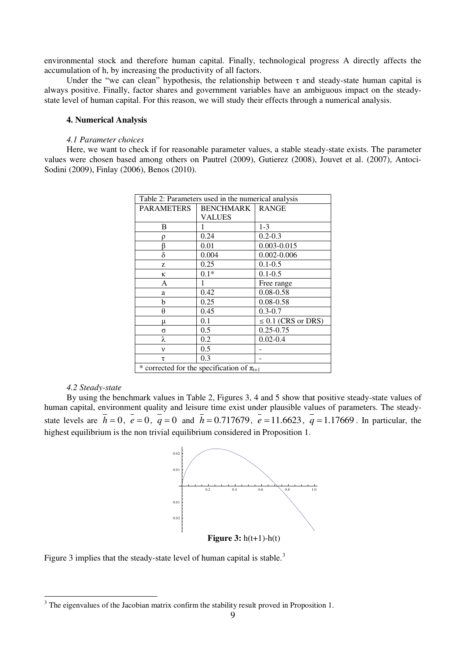environmental stock and therefore human capital. Finally, technological progress A directly affects the accumulation of h, by increasing the productivity of all factors.

Under the "we can clean" hypothesis, the relationship between  $\tau$  and steady-state human capital is always positive. Finally, factor shares and government variables have an ambiguous impact on the steadystate level of human capital. For this reason, we will study their effects through a numerical analysis.

# **4. Numerical Analysis**

#### *4.1 Parameter choices*

Here, we want to check if for reasonable parameter values, a stable steady-state exists. The parameter values were chosen based among others on Pautrel (2009), Gutierez (2008), Jouvet et al. (2007), Antoci-Sodini (2009), Finlay (2006), Benos (2010).

| Table 2: Parameters used in the numerical analysis |           |                         |  |  |  |  |
|----------------------------------------------------|-----------|-------------------------|--|--|--|--|
| <b>PARAMETERS</b>                                  | BENCHMARK | <b>RANGE</b>            |  |  |  |  |
|                                                    | VALUES    |                         |  |  |  |  |
| B                                                  |           | $1 - 3$                 |  |  |  |  |
|                                                    | 0.24      | $0.2 - 0.3$             |  |  |  |  |
| ß                                                  | 0.01      | $0.003 - 0.015$         |  |  |  |  |
| δ                                                  | 0.004     | $0.002 - 0.006$         |  |  |  |  |
| Z                                                  | 0.25      | $0.1 - 0.5$             |  |  |  |  |
| κ                                                  | $0.1*$    | $0.1 - 0.5$             |  |  |  |  |
| A                                                  |           | Free range              |  |  |  |  |
| a                                                  | 0.42      | $0.08 - 0.58$           |  |  |  |  |
| b                                                  | 0.25      | $0.08 - 0.58$           |  |  |  |  |
| θ                                                  | 0.45      | $0.3 - 0.7$             |  |  |  |  |
| μ                                                  | 0.1       | $\leq 0.1$ (CRS or DRS) |  |  |  |  |
| σ                                                  | 0.5       | $0.25 - 0.75$           |  |  |  |  |
| λ                                                  | 0.2       | $0.02 - 0.4$            |  |  |  |  |
| $\mathbf{v}$                                       | 0.5       |                         |  |  |  |  |
| T.                                                 | 0.3       |                         |  |  |  |  |
| * corrected for the specification of $\pi_{t+1}$   |           |                         |  |  |  |  |

## *4.2 Steady-state*

By using the benchmark values in Table 2, Figures 3, 4 and 5 show that positive steady-state values of human capital, environment quality and leisure time exist under plausible values of parameters. The steadystate levels are  $h = 0$ ,  $e = 0$ ,  $q = 0$  and  $h = 0.717679$ ,  $e = 11.6623$ ,  $q = 1.17669$ . In particular, the highest equilibrium is the non trivial equilibrium considered in Proposition 1.



Figure 3 implies that the steady-state level of human capital is stable. $3$ 

<sup>&</sup>lt;sup>3</sup> The eigenvalues of the Jacobian matrix confirm the stability result proved in Proposition 1.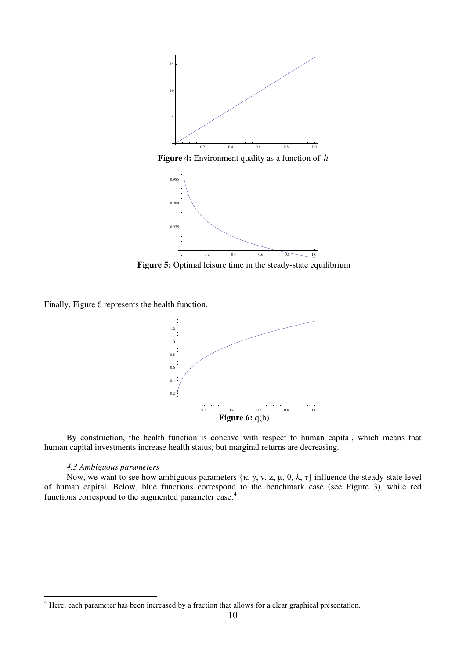

**Figure 5:** Optimal leisure time in the steady-state equilibrium

Finally, Figure 6 represents the health function.



By construction, the health function is concave with respect to human capital, which means that human capital investments increase health status, but marginal returns are decreasing.

# *4.3 Ambiguous parameters*

Now, we want to see how ambiguous parameters  $\{\kappa, \gamma, \nu, z, \mu, \theta, \lambda, \tau\}$  influence the steady-state level of human capital. Below, blue functions correspond to the benchmark case (see Figure 3), while red functions correspond to the augmented parameter case.<sup>4</sup>

<sup>&</sup>lt;sup>4</sup> Here, each parameter has been increased by a fraction that allows for a clear graphical presentation.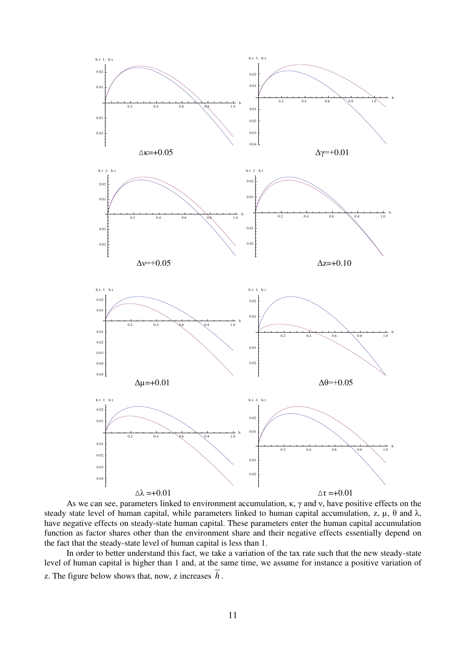

As we can see, parameters linked to environment accumulation,  $\kappa$ ,  $\gamma$  and  $\nu$ , have positive effects on the steady state level of human capital, while parameters linked to human capital accumulation, z,  $\mu$ ,  $\theta$  and  $\lambda$ , have negative effects on steady-state human capital. These parameters enter the human capital accumulation function as factor shares other than the environment share and their negative effects essentially depend on the fact that the steady-state level of human capital is less than 1.

In order to better understand this fact, we take a variation of the tax rate such that the new steady-state level of human capital is higher than 1 and, at the same time, we assume for instance a positive variation of z. The figure below shows that, now, z increases *h* .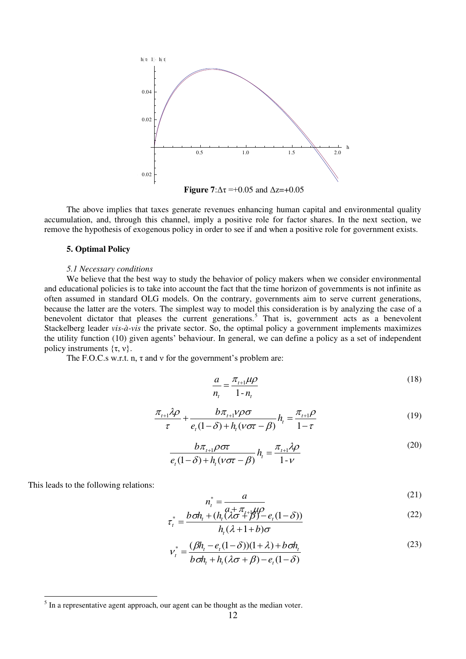

The above implies that taxes generate revenues enhancing human capital and environmental quality accumulation, and, through this channel, imply a positive role for factor shares. In the next section, we remove the hypothesis of exogenous policy in order to see if and when a positive role for government exists.

# **5. Optimal Policy**

## *5.1 Necessary conditions*

We believe that the best way to study the behavior of policy makers when we consider environmental and educational policies is to take into account the fact that the time horizon of governments is not infinite as often assumed in standard OLG models. On the contrary, governments aim to serve current generations, because the latter are the voters. The simplest way to model this consideration is by analyzing the case of a benevolent dictator that pleases the current generations.<sup>5</sup> That is, government acts as a benevolent Stackelberg leader *vis-à-vis* the private sector. So, the optimal policy a government implements maximizes the utility function (10) given agents' behaviour. In general, we can define a policy as a set of independent policy instruments  $\{\tau, v\}.$ 

The F.O.C.s w.r.t. n,  $\tau$  and  $\nu$  for the government's problem are:

$$
\frac{a}{n_t} = \frac{\pi_{t+1}\mu\rho}{1 - n_t} \tag{18}
$$

$$
\frac{\pi_{t+1}\lambda\rho}{\tau} + \frac{b\pi_{t+1}\nu\rho\sigma}{e_t(1-\delta) + h_t(\nu\sigma\tau - \beta)}h_t = \frac{\pi_{t+1}\rho}{1-\tau}
$$
(19)

$$
\frac{b\pi_{t+1}\rho\sigma\tau}{e_t(1-\delta)+h_t(v\sigma\tau-\beta)}h_t = \frac{\pi_{t+1}\lambda\rho}{1-v}
$$
\n(20)

This leads to the following relations:

-

$$
n_t^* = \frac{a}{a + \overline{a} + \overline{a} + \overline{a}}
$$
 (21)

$$
\tau_i^* = \frac{b \, \sigma h_t + (h_t \, (\lambda \sigma + \beta) - e_t (1 - \delta))}{h_t (\lambda + 1 + b) \sigma}
$$
\n
$$
(22)
$$

$$
v_t^* = \frac{(\beta h_t - e_t(1-\delta))(1+\lambda) + b\sigma h_t}{b\sigma h_t + h_t(\lambda \sigma + \beta) - e_t(1-\delta)}
$$
(23)

*t*

 $<sup>5</sup>$  In a representative agent approach, our agent can be thought as the median voter.</sup>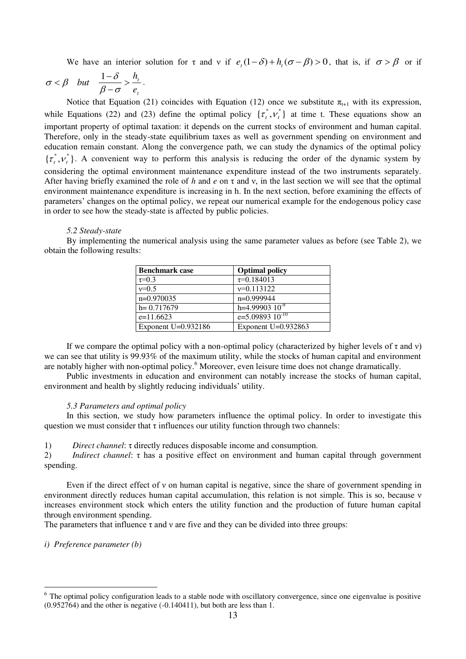We have an interior solution for  $\tau$  and  $\nu$  if  $e_t(1-\delta) + h_t(\sigma-\beta) > 0$ , that is, if  $\sigma > \beta$  or if

$$
\sigma < \beta \quad but \quad \frac{1-\delta}{\beta-\sigma} > \frac{h_t}{e_t} \, .
$$

Notice that Equation (21) coincides with Equation (12) once we substitute  $\pi_{t+1}$  with its expression, while Equations (22) and (23) define the optimal policy  $\{\tau_i^*, \nu_i^*\}$  at time t. These equations show an important property of optimal taxation: it depends on the current stocks of environment and human capital. Therefore, only in the steady-state equilibrium taxes as well as government spending on environment and education remain constant. Along the convergence path, we can study the dynamics of the optimal policy  $\{\tau_i^*, \nu_i^*\}$ . A convenient way to perform this analysis is reducing the order of the dynamic system by considering the optimal environment maintenance expenditure instead of the two instruments separately. After having briefly examined the role of *h* and *e* on τ and ν, in the last section we will see that the optimal environment maintenance expenditure is increasing in h. In the next section, before examining the effects of parameters' changes on the optimal policy, we repeat our numerical example for the endogenous policy case in order to see how the steady-state is affected by public policies.

## *5.2 Steady-state*

By implementing the numerical analysis using the same parameter values as before (see Table 2), we obtain the following results:

| <b>Benchmark case</b> | <b>Optimal policy</b> |
|-----------------------|-----------------------|
| $\tau = 0.3$          | $\tau = 0.184013$     |
| $v=0.5$               | $v=0.113122$          |
| $n=0.970035$          | $n=0.999944$          |
| $h = 0.717679$        | h=4.99903 $10^{-9}$   |
| $e=11.6623$           | $e=5.0989310^{-10}$   |
| Exponent $U=0.932186$ | Exponent $U=0.932863$ |

If we compare the optimal policy with a non-optimal policy (characterized by higher levels of  $\tau$  and  $\nu$ ) we can see that utility is 99.93% of the maximum utility, while the stocks of human capital and environment are notably higher with non-optimal policy.<sup>6</sup> Moreover, even leisure time does not change dramatically.

Public investments in education and environment can notably increase the stocks of human capital, environment and health by slightly reducing individuals' utility.

# *5.3 Parameters and optimal policy*

In this section, we study how parameters influence the optimal policy. In order to investigate this question we must consider that  $\tau$  influences our utility function through two channels:

1) *Direct channel*: τ directly reduces disposable income and consumption.

2) *Indirect channel*: τ has a positive effect on environment and human capital through government spending.

Even if the direct effect of  $\nu$  on human capital is negative, since the share of government spending in environment directly reduces human capital accumulation, this relation is not simple. This is so, because ν increases environment stock which enters the utility function and the production of future human capital through environment spending.

The parameters that influence  $\tau$  and  $\nu$  are five and they can be divided into three groups:

*i) Preference parameter (b)* 

-

<sup>&</sup>lt;sup>6</sup> The optimal policy configuration leads to a stable node with oscillatory convergence, since one eigenvalue is positive  $(0.952764)$  and the other is negative  $(-0.140411)$ , but both are less than 1.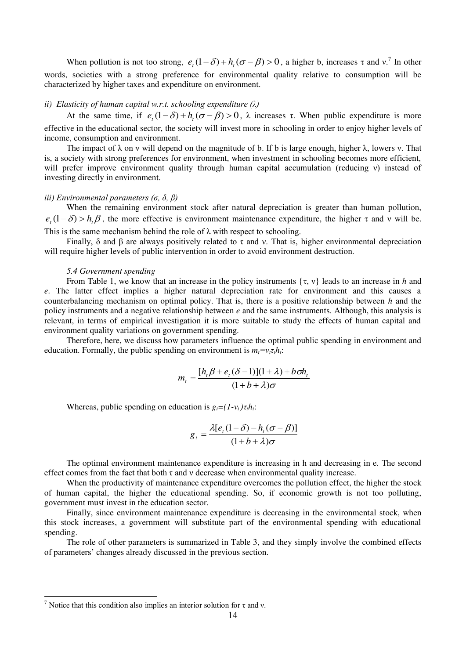When pollution is not too strong,  $e_t(1-\delta) + h_t(\sigma-\beta) > 0$ , a higher b, increases  $\tau$  and  $v^2$ . In other words, societies with a strong preference for environmental quality relative to consumption will be characterized by higher taxes and expenditure on environment.

#### *ii) Elasticity of human capital w.r.t. schooling expenditure (λ)*

At the same time, if  $e_t(1-\delta) + h_t(\sigma-\beta) > 0$ ,  $\lambda$  increases  $\tau$ . When public expenditure is more effective in the educational sector, the society will invest more in schooling in order to enjoy higher levels of income, consumption and environment.

The impact of  $\lambda$  on v will depend on the magnitude of b. If b is large enough, higher  $\lambda$ , lowers v. That is, a society with strong preferences for environment, when investment in schooling becomes more efficient, will prefer improve environment quality through human capital accumulation (reducing ν) instead of investing directly in environment.

# *iii) Environmental parameters (σ, δ, β)*

When the remaining environment stock after natural depreciation is greater than human pollution,  $e_t(1-\delta) > h_t\beta$ , the more effective is environment maintenance expenditure, the higher  $\tau$  and  $\nu$  will be. This is the same mechanism behind the role of  $\lambda$  with respect to schooling.

Finally, δ and β are always positively related to τ and y. That is, higher environmental depreciation will require higher levels of public intervention in order to avoid environment destruction.

## *5.4 Government spending*

From Table 1, we know that an increase in the policy instruments  $\{\tau, v\}$  leads to an increase in *h* and *e*. The latter effect implies a higher natural depreciation rate for environment and this causes a counterbalancing mechanism on optimal policy. That is, there is a positive relationship between *h* and the policy instruments and a negative relationship between *e* and the same instruments. Although, this analysis is relevant, in terms of empirical investigation it is more suitable to study the effects of human capital and environment quality variations on government spending.

Therefore, here, we discuss how parameters influence the optimal public spending in environment and education. Formally, the public spending on environment is  $m_t = v_t \tau_t h_t$ :

$$
m_{t} = \frac{[h_{t}\beta + e_{t}(\delta - 1)](1 + \lambda) + b\sigma h_{t}}{(1 + b + \lambda)\sigma}
$$

Whereas, public spending on education is  $g_t = (1 - v_t) \tau_t h_t$ :

$$
g_{t} = \frac{\lambda [e_{t}(1-\delta) - h_{t}(\sigma - \beta)]}{(1+b+\lambda)\sigma}
$$

The optimal environment maintenance expenditure is increasing in h and decreasing in e. The second effect comes from the fact that both  $\tau$  and  $\nu$  decrease when environmental quality increase.

When the productivity of maintenance expenditure overcomes the pollution effect, the higher the stock of human capital, the higher the educational spending. So, if economic growth is not too polluting, government must invest in the education sector.

Finally, since environment maintenance expenditure is decreasing in the environmental stock, when this stock increases, a government will substitute part of the environmental spending with educational spending.

The role of other parameters is summarized in Table 3, and they simply involve the combined effects of parameters' changes already discussed in the previous section.

-

<sup>&</sup>lt;sup>7</sup> Notice that this condition also implies an interior solution for  $\tau$  and v.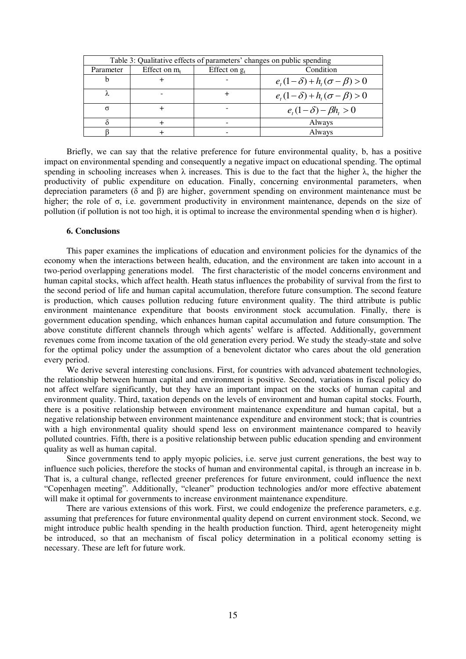| Table 3: Qualitative effects of parameters' changes on public spending |                 |                 |                                         |  |  |  |
|------------------------------------------------------------------------|-----------------|-----------------|-----------------------------------------|--|--|--|
| Parameter                                                              | Effect on $m_t$ | Effect on $g_t$ | Condition                               |  |  |  |
|                                                                        |                 |                 | $e_{i}(1-\delta)+h_{i}(\sigma-\beta)>0$ |  |  |  |
|                                                                        |                 |                 | $e_{i}(1-\delta)+h_{i}(\sigma-\beta)>0$ |  |  |  |
| σ                                                                      |                 |                 | $e_{i}(1-\delta)-\beta h_{i}>0$         |  |  |  |
|                                                                        |                 |                 | Always                                  |  |  |  |
|                                                                        |                 |                 | Always                                  |  |  |  |

Briefly, we can say that the relative preference for future environmental quality, b, has a positive impact on environmental spending and consequently a negative impact on educational spending. The optimal spending in schooling increases when  $\lambda$  increases. This is due to the fact that the higher  $\lambda$ , the higher the productivity of public expenditure on education. Finally, concerning environmental parameters, when depreciation parameters (δ and β) are higher, government spending on environment maintenance must be higher; the role of σ, i.e. government productivity in environment maintenance, depends on the size of pollution (if pollution is not too high, it is optimal to increase the environmental spending when  $\sigma$  is higher).

## **6. Conclusions**

This paper examines the implications of education and environment policies for the dynamics of the economy when the interactions between health, education, and the environment are taken into account in a two-period overlapping generations model. The first characteristic of the model concerns environment and human capital stocks, which affect health. Heath status influences the probability of survival from the first to the second period of life and human capital accumulation, therefore future consumption. The second feature is production, which causes pollution reducing future environment quality. The third attribute is public environment maintenance expenditure that boosts environment stock accumulation. Finally, there is government education spending, which enhances human capital accumulation and future consumption. The above constitute different channels through which agents' welfare is affected. Additionally, government revenues come from income taxation of the old generation every period. We study the steady-state and solve for the optimal policy under the assumption of a benevolent dictator who cares about the old generation every period.

We derive several interesting conclusions. First, for countries with advanced abatement technologies, the relationship between human capital and environment is positive. Second, variations in fiscal policy do not affect welfare significantly, but they have an important impact on the stocks of human capital and environment quality. Third, taxation depends on the levels of environment and human capital stocks. Fourth, there is a positive relationship between environment maintenance expenditure and human capital, but a negative relationship between environment maintenance expenditure and environment stock; that is countries with a high environmental quality should spend less on environment maintenance compared to heavily polluted countries. Fifth, there is a positive relationship between public education spending and environment quality as well as human capital.

Since governments tend to apply myopic policies, i.e. serve just current generations, the best way to influence such policies, therefore the stocks of human and environmental capital, is through an increase in b. That is, a cultural change, reflected greener preferences for future environment, could influence the next "Copenhagen meeting". Additionally, "cleaner" production technologies and/or more effective abatement will make it optimal for governments to increase environment maintenance expenditure.

There are various extensions of this work. First, we could endogenize the preference parameters, e.g. assuming that preferences for future environmental quality depend on current environment stock. Second, we might introduce public health spending in the health production function. Third, agent heterogeneity might be introduced, so that an mechanism of fiscal policy determination in a political economy setting is necessary. These are left for future work.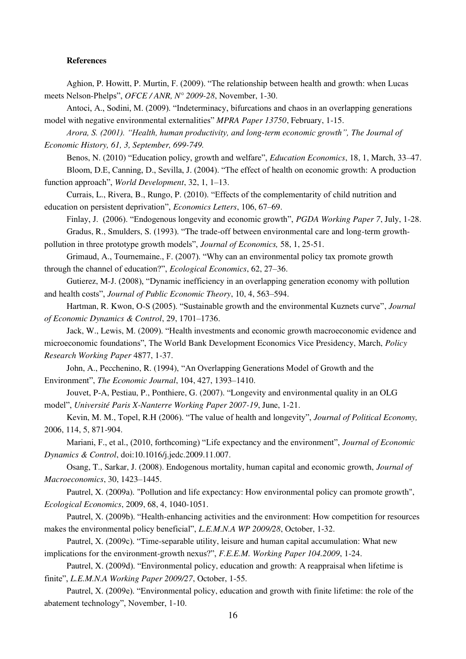#### **References**

Aghion, P. Howitt, P. Murtin, F. (2009). "The relationship between health and growth: when Lucas meets Nelson-Phelps", *OFCE / ANR, N° 2009-28*, November, 1-30.

Antoci, A., Sodini, M. (2009). "Indeterminacy, bifurcations and chaos in an overlapping generations model with negative environmental externalities" *MPRA Paper 13750*, February, 1-15.

*Arora, S. (2001). "Health, human productivity, and long-term economic growth", [The Journal of](http://journals.cambridge.org/action/displayJournal?jid=JEH)  [Economic History,](http://journals.cambridge.org/action/displayJournal?jid=JEH) [61,](http://journals.cambridge.org/action/displayJournal?jid=JEH&volumeId=61&bVolume=y#loc61) [3,](http://journals.cambridge.org/action/displayIssue?jid=JEH&volumeId=61&seriesId=0&issueId=03) September, 699-749.* 

Benos, N. (2010) "Education policy, growth and welfare", *Education Economics*, 18, 1, March, 33–47.

Bloom, D.E, Canning, D., Sevilla, J. (2004). "The effect of health on economic growth: A production function approach", *World Development*, 32, 1, 1–13.

Currais, L., Rivera, B., Rungo, P. (2010). "Effects of the complementarity of child nutrition and education on persistent deprivation", *Economics Letters*, 106, 67–69.

Finlay, J. (2006). "Endogenous longevity and economic growth", *PGDA Working Paper 7*, July, 1-28. Gradus, R., Smulders, S. (1993). "The trade-off between environmental care and long-term growthpollution in three prototype growth models", *Journal of Economics,* 58, 1, 25-51.

Grimaud, A., Tournemaine., F. (2007). "Why can an environmental policy tax promote growth through the channel of education?", *Ecological Economics*, 62, 27–36.

Gutierez, M-J. (2008), "Dynamic inefficiency in an overlapping generation economy with pollution and health costs", *Journal of Public Economic Theory*, 10, 4, 563–594.

Hartman, R. Kwon, O-S (2005). "Sustainable growth and the environmental Kuznets curve", *Journal of Economic Dynamics & Control*, 29, 1701–1736.

Jack, W., Lewis, M. (2009). "Health investments and economic growth macroeconomic evidence and microeconomic foundations", The World Bank Development Economics Vice Presidency, March, *Policy Research Working Paper* 4877, 1-37.

John, A., Pecchenino, R. (1994), "An Overlapping Generations Model of Growth and the Environment", *The Economic Journal*, 104, 427, 1393–1410.

Jouvet, P-A, Pestiau, P., Ponthiere, G. (2007). "Longevity and environmental quality in an OLG model", *Université Paris X-Nanterre Working Paper 2007-19*, June, 1-21.

Kevin, M. M., Topel, R.H (2006). "The value of health and longevity", *Journal of Political Economy,*  2006, 114, 5, 871-904.

Mariani, F., et al., (2010, forthcoming) "Life expectancy and the environment", *Journal of Economic Dynamics & Control*, doi:10.1016/j.jedc.2009.11.007.

Osang, T., Sarkar, J. (2008). Endogenous mortality, human capital and economic growth, *Journal of Macroeconomics*, 30, 1423–1445.

Pautrel, X. (2009a). "Pollution and life expectancy: How environmental policy can promote growth", *Ecological Economics*, 2009, 68, 4, 1040-1051.

Pautrel, X. (2009b). "Health-enhancing activities and the environment: How competition for resources makes the environmental policy beneficial", *L.E.M.N.A WP 2009/28*, October, 1-32.

Pautrel, X. (2009c). "Time-separable utility, leisure and human capital accumulation: What new implications for the environment-growth nexus?", *[F.E.E.M. Working Paper 104.2009](http://www.feem.it/getpage.aspx?id=2534&sez=Publications&padre=73)*, 1-24.

Pautrel, X. (2009d). "Environmental policy, education and growth: A reappraisal when lifetime is finite", *L.E.M.N.A Working Paper 2009/27*, October, 1-55.

Pautrel, X. (2009e). "Environmental policy, education and growth with finite lifetime: the role of the abatement technology", November, 1-10.